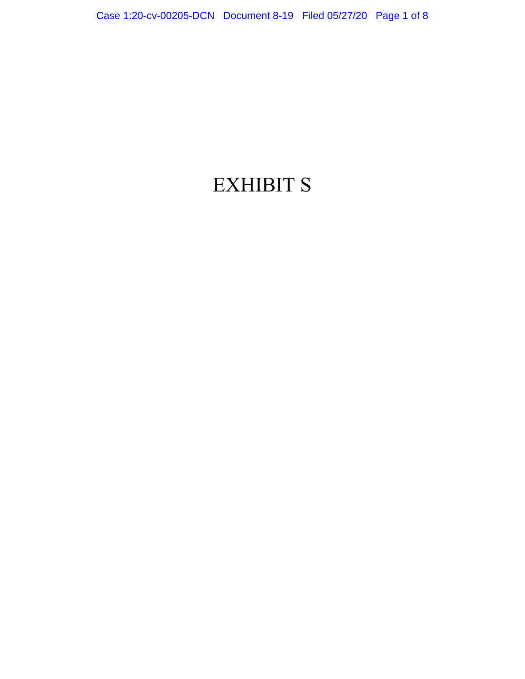## EXHIBIT S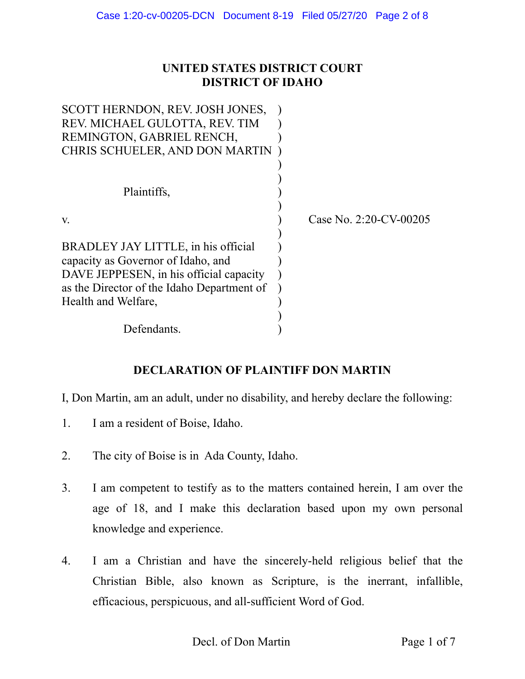## **UNITED STATES DISTRICT COURT DISTRICT OF IDAHO**

| SCOTT HERNDON, REV. JOSH JONES,<br>REV. MICHAEL GULOTTA, REV. TIM<br>REMINGTON, GABRIEL RENCH,<br>CHRIS SCHUELER, AND DON MARTIN |                           |
|----------------------------------------------------------------------------------------------------------------------------------|---------------------------|
| Plaintiffs,                                                                                                                      |                           |
| V.                                                                                                                               | Case No. $2:20$ -CV-00205 |
| BRADLEY JAY LITTLE, in his official                                                                                              |                           |
| capacity as Governor of Idaho, and<br>DAVE JEPPESEN, in his official capacity                                                    |                           |
| as the Director of the Idaho Department of                                                                                       |                           |
| Health and Welfare,                                                                                                              |                           |
| Defendants.                                                                                                                      |                           |
|                                                                                                                                  |                           |

## **DECLARATION OF PLAINTIFF DON MARTIN**

I, Don Martin, am an adult, under no disability, and hereby declare the following:

- 1. I am a resident of Boise, Idaho.
- 2. The city of Boise is in Ada County, Idaho.
- 3. I am competent to testify as to the matters contained herein, I am over the age of 18, and I make this declaration based upon my own personal knowledge and experience.
- 4. I am a Christian and have the sincerely-held religious belief that the Christian Bible, also known as Scripture, is the inerrant, infallible, efficacious, perspicuous, and all-sufficient Word of God.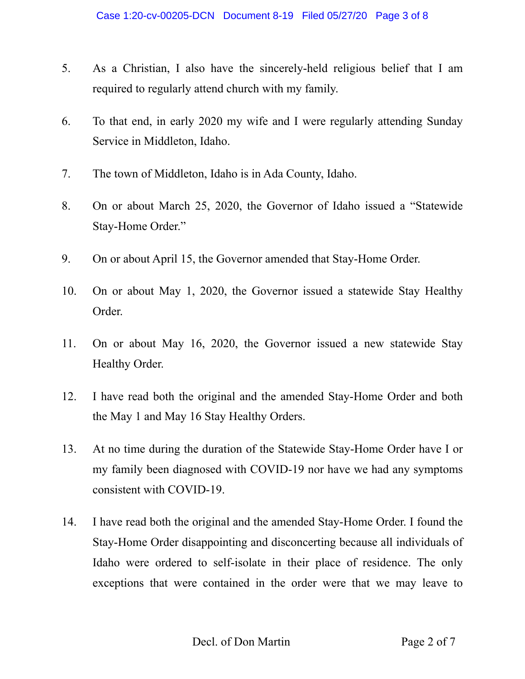- 5. As a Christian, I also have the sincerely-held religious belief that I am required to regularly attend church with my family.
- 6. To that end, in early 2020 my wife and I were regularly attending Sunday Service in Middleton, Idaho.
- 7. The town of Middleton, Idaho is in Ada County, Idaho.
- 8. On or about March 25, 2020, the Governor of Idaho issued a "Statewide Stay-Home Order."
- 9. On or about April 15, the Governor amended that Stay-Home Order.
- 10. On or about May 1, 2020, the Governor issued a statewide Stay Healthy Order.
- 11. On or about May 16, 2020, the Governor issued a new statewide Stay Healthy Order.
- 12. I have read both the original and the amended Stay-Home Order and both the May 1 and May 16 Stay Healthy Orders.
- 13. At no time during the duration of the Statewide Stay-Home Order have I or my family been diagnosed with COVID-19 nor have we had any symptoms consistent with COVID-19.
- 14. I have read both the original and the amended Stay-Home Order. I found the Stay-Home Order disappointing and disconcerting because all individuals of Idaho were ordered to self-isolate in their place of residence. The only exceptions that were contained in the order were that we may leave to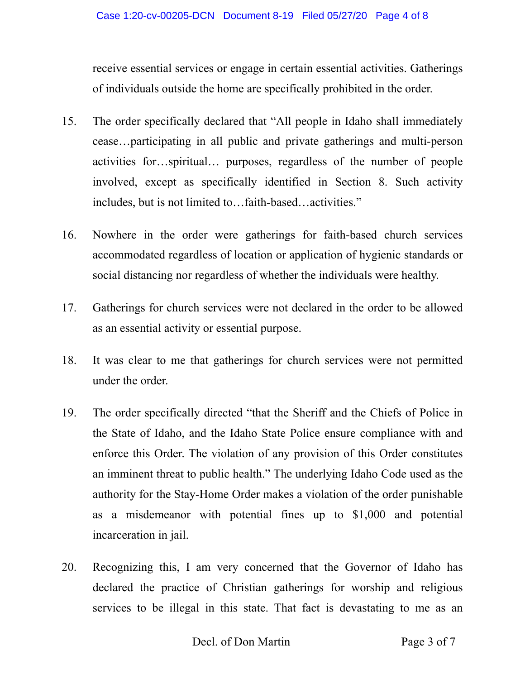receive essential services or engage in certain essential activities. Gatherings of individuals outside the home are specifically prohibited in the order.

- 15. The order specifically declared that "All people in Idaho shall immediately cease…participating in all public and private gatherings and multi-person activities for…spiritual… purposes, regardless of the number of people involved, except as specifically identified in Section 8. Such activity includes, but is not limited to…faith-based…activities."
- 16. Nowhere in the order were gatherings for faith-based church services accommodated regardless of location or application of hygienic standards or social distancing nor regardless of whether the individuals were healthy.
- 17. Gatherings for church services were not declared in the order to be allowed as an essential activity or essential purpose.
- 18. It was clear to me that gatherings for church services were not permitted under the order.
- 19. The order specifically directed "that the Sheriff and the Chiefs of Police in the State of Idaho, and the Idaho State Police ensure compliance with and enforce this Order. The violation of any provision of this Order constitutes an imminent threat to public health." The underlying Idaho Code used as the authority for the Stay-Home Order makes a violation of the order punishable as a misdemeanor with potential fines up to \$1,000 and potential incarceration in jail.
- 20. Recognizing this, I am very concerned that the Governor of Idaho has declared the practice of Christian gatherings for worship and religious services to be illegal in this state. That fact is devastating to me as an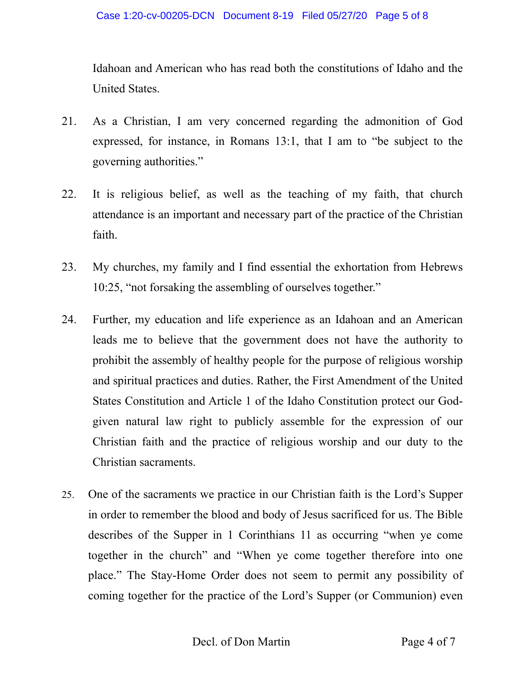Idahoan and American who has read both the constitutions of Idaho and the United States.

- 21. As a Christian, I am very concerned regarding the admonition of God expressed, for instance, in Romans 13:1, that I am to "be subject to the governing authorities."
- 22. It is religious belief, as well as the teaching of my faith, that church attendance is an important and necessary part of the practice of the Christian faith.
- 23. My churches, my family and I find essential the exhortation from Hebrews 10:25, "not forsaking the assembling of ourselves together."
- 24. Further, my education and life experience as an Idahoan and an American leads me to believe that the government does not have the authority to prohibit the assembly of healthy people for the purpose of religious worship and spiritual practices and duties. Rather, the First Amendment of the United States Constitution and Article 1 of the Idaho Constitution protect our Godgiven natural law right to publicly assemble for the expression of our Christian faith and the practice of religious worship and our duty to the Christian sacraments.
- 25. One of the sacraments we practice in our Christian faith is the Lord's Supper in order to remember the blood and body of Jesus sacrificed for us. The Bible describes of the Supper in 1 Corinthians 11 as occurring "when ye come together in the church" and "When ye come together therefore into one place." The Stay-Home Order does not seem to permit any possibility of coming together for the practice of the Lord's Supper (or Communion) even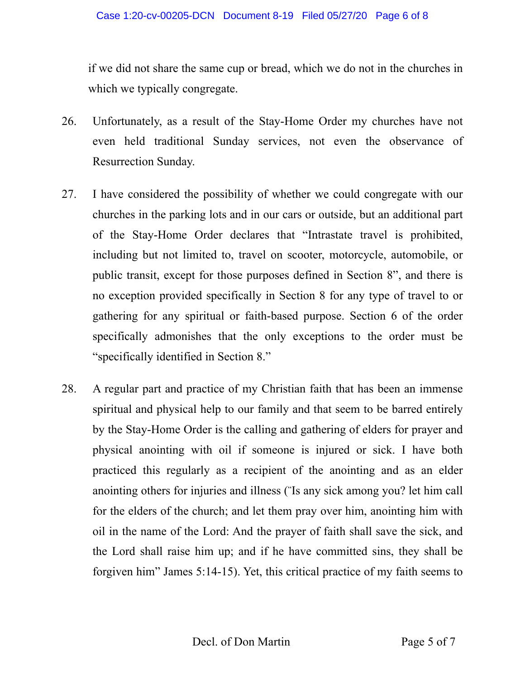if we did not share the same cup or bread, which we do not in the churches in which we typically congregate.

- 26. Unfortunately, as a result of the Stay-Home Order my churches have not even held traditional Sunday services, not even the observance of Resurrection Sunday.
- 27. I have considered the possibility of whether we could congregate with our churches in the parking lots and in our cars or outside, but an additional part of the Stay-Home Order declares that "Intrastate travel is prohibited, including but not limited to, travel on scooter, motorcycle, automobile, or public transit, except for those purposes defined in Section 8", and there is no exception provided specifically in Section 8 for any type of travel to or gathering for any spiritual or faith-based purpose. Section 6 of the order specifically admonishes that the only exceptions to the order must be "specifically identified in Section 8."
- 28. A regular part and practice of my Christian faith that has been an immense spiritual and physical help to our family and that seem to be barred entirely by the Stay-Home Order is the calling and gathering of elders for prayer and physical anointing with oil if someone is injured or sick. I have both practiced this regularly as a recipient of the anointing and as an elder anointing others for injuries and illness ("Is any sick among you? let him call for the elders of the church; and let them pray over him, anointing him with oil in the name of the Lord: And the prayer of faith shall save the sick, and the Lord shall raise him up; and if he have committed sins, they shall be forgiven him" James 5:14-15). Yet, this critical practice of my faith seems to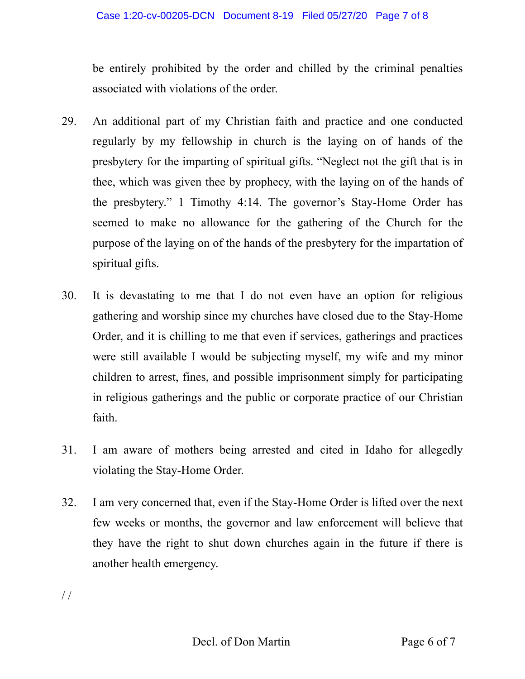be entirely prohibited by the order and chilled by the criminal penalties associated with violations of the order.

- 29. An additional part of my Christian faith and practice and one conducted regularly by my fellowship in church is the laying on of hands of the presbytery for the imparting of spiritual gifts. "Neglect not the gift that is in thee, which was given thee by prophecy, with the laying on of the hands of the presbytery." 1 Timothy 4:14. The governor's Stay-Home Order has seemed to make no allowance for the gathering of the Church for the purpose of the laying on of the hands of the presbytery for the impartation of spiritual gifts.
- 30. It is devastating to me that I do not even have an option for religious gathering and worship since my churches have closed due to the Stay-Home Order, and it is chilling to me that even if services, gatherings and practices were still available I would be subjecting myself, my wife and my minor children to arrest, fines, and possible imprisonment simply for participating in religious gatherings and the public or corporate practice of our Christian faith.
- 31. I am aware of mothers being arrested and cited in Idaho for allegedly violating the Stay-Home Order.
- 32. I am very concerned that, even if the Stay-Home Order is lifted over the next few weeks or months, the governor and law enforcement will believe that they have the right to shut down churches again in the future if there is another health emergency.

/ /